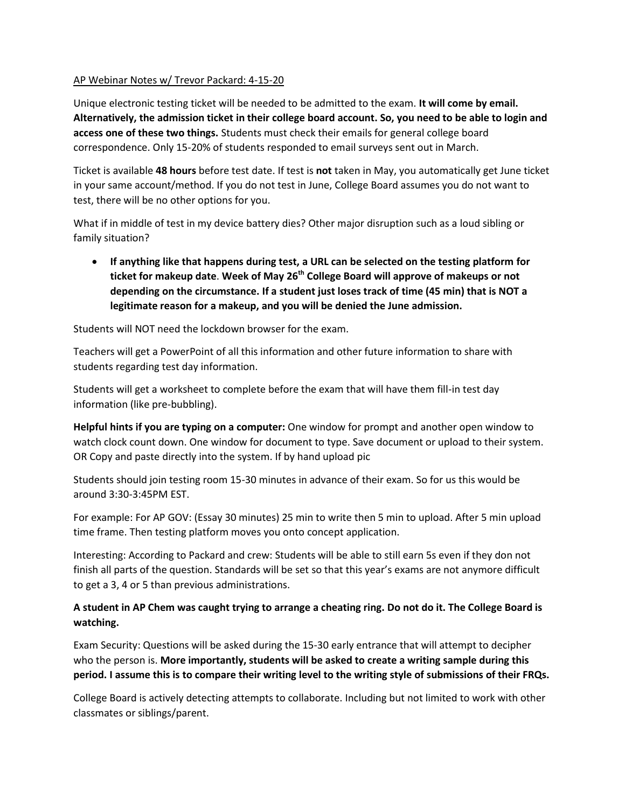## AP Webinar Notes w/ Trevor Packard: 4-15-20

Unique electronic testing ticket will be needed to be admitted to the exam. **It will come by email. Alternatively, the admission ticket in their college board account. So, you need to be able to login and access one of these two things.** Students must check their emails for general college board correspondence. Only 15-20% of students responded to email surveys sent out in March.

Ticket is available **48 hours** before test date. If test is **not** taken in May, you automatically get June ticket in your same account/method. If you do not test in June, College Board assumes you do not want to test, there will be no other options for you.

What if in middle of test in my device battery dies? Other major disruption such as a loud sibling or family situation?

 **If anything like that happens during test, a URL can be selected on the testing platform for ticket for makeup date**. **Week of May 26th College Board will approve of makeups or not depending on the circumstance. If a student just loses track of time (45 min) that is NOT a legitimate reason for a makeup, and you will be denied the June admission.**

Students will NOT need the lockdown browser for the exam.

Teachers will get a PowerPoint of all this information and other future information to share with students regarding test day information.

Students will get a worksheet to complete before the exam that will have them fill-in test day information (like pre-bubbling).

**Helpful hints if you are typing on a computer:** One window for prompt and another open window to watch clock count down. One window for document to type. Save document or upload to their system. OR Copy and paste directly into the system. If by hand upload pic

Students should join testing room 15-30 minutes in advance of their exam. So for us this would be around 3:30-3:45PM EST.

For example: For AP GOV: (Essay 30 minutes) 25 min to write then 5 min to upload. After 5 min upload time frame. Then testing platform moves you onto concept application.

Interesting: According to Packard and crew: Students will be able to still earn 5s even if they don not finish all parts of the question. Standards will be set so that this year's exams are not anymore difficult to get a 3, 4 or 5 than previous administrations.

## **A student in AP Chem was caught trying to arrange a cheating ring. Do not do it. The College Board is watching.**

Exam Security: Questions will be asked during the 15-30 early entrance that will attempt to decipher who the person is. **More importantly, students will be asked to create a writing sample during this period. I assume this is to compare their writing level to the writing style of submissions of their FRQs.**

College Board is actively detecting attempts to collaborate. Including but not limited to work with other classmates or siblings/parent.